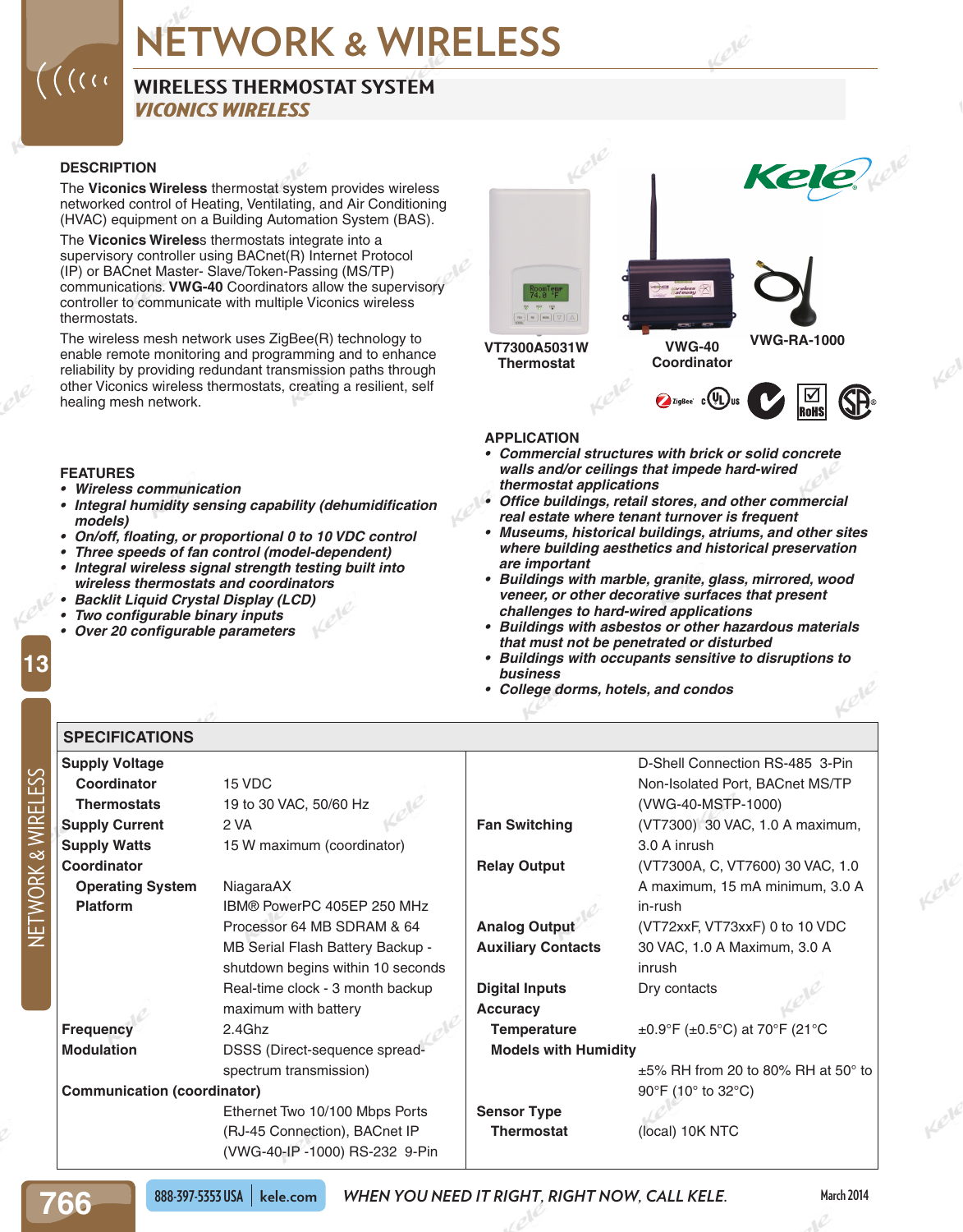#### **WIRELESS THERMOSTAT SYSTEM** *VICONICS WIRELESS*

#### **DESCRIPTION**

 $\big($  ( (  $\cap$ 

**FEATURES**

*models)*

**SPECIFICATIONS** 

*• Wireless communication*

The **Viconics Wireless** thermostat system provides wireless networked control of Heating, Ventilating, and Air Conditioning (HVAC) equipment on a Building Automation System (BAS).

The **Viconics Wireles**s thermostats integrate into a supervisory controller using BACnet(R) Internet Protocol (IP) or BACnet Master- Slave/Token-Passing (MS/TP) communications. **VWG-40** Coordinators allow the supervisory controller to communicate with multiple Viconics wireless thermostats.

The wireless mesh network uses ZigBee(R) technology to enable remote monitoring and programming and to enhance reliability by providing redundant transmission paths through other Viconics wireless thermostats, creating a resilient, self healing mesh network.

*• Integral humidity sensing capability (dehumidification* 

*• On/off, floating, or proportional 0 to 10 VDC control • Three speeds of fan control (model-dependent) • Integral wireless signal strength testing built into* 

*wireless thermostats and coordinators • Backlit Liquid Crystal Display (LCD) • Two configurable binary inputs • Over 20 configurable parameters*



#### **APPLICATION**

- *• Commercial structures with brick or solid concrete walls and/or ceilings that impede hard-wired thermostat applications*
- *• Office buildings, retail stores, and other commercial real estate where tenant turnover is frequent*
- *• Museums, historical buildings, atriums, and other sites where building aesthetics and historical preservation are important*
- *• Buildings with marble, granite, glass, mirrored, wood veneer, or other decorative surfaces that present challenges to hard-wired applications*
- *• Buildings with asbestos or other hazardous materials that must not be penetrated or disturbed*
- *• Buildings with occupants sensitive to disruptions to business*
- *• College dorms, hotels, and condos*

**Supply Voltage Coordinator** 15 VDC **Thermostats** 19 to 30 VAC, 50/60 Hz **Supply Current** 2 VA **Supply Watts** 15 W maximum (coordinator) **Coordinator Operating System** NiagaraAX **Platform** IBM® PowerPC 405EP 250 MHz Processor 64 MB SDRAM & 64 MB Serial Flash Battery Backup shutdown begins within 10 seconds Real-time clock - 3 month backup maximum with battery **Frequency** 2.4Ghz **Modulation** DSSS (Direct-sequence spreadspectrum transmission) **Communication (coordinator)** Ethernet Two 10/100 Mbps Ports (RJ-45 Connection), BACnet IP (VWG-40-IP -1000) RS-232 9-Pin D-Shell Connection RS-485 3-Pin Non-Isolated Port, BACnet MS/TP (VWG-40-MSTP-1000) **Fan Switching** (VT7300) 30 VAC, 1.0 A maximum, 3.0 A inrush **Relay Output** (VT7300A, C, VT7600) 30 VAC, 1.0 A maximum, 15 mA minimum, 3.0 A in-rush **Analog Output** (VT72xxF, VT73xxF) 0 to 10 VDC **Auxiliary Contacts** 30 VAC, 1.0 A Maximum, 3.0 A inrush **Digital Inputs** Dry contacts **Accuracy Temperature**  $\pm 0.9^\circ$ F ( $\pm 0.5^\circ$ C) at 70°F (21°C) **Models with Humidity** ±5% RH from 20 to 80% RH at 50° to 90°F (10° to 32°C) **Sensor Type Thermostat** (local) 10K NTC

NETWORK & WIRELESS

**13**

**766**

**March 2014**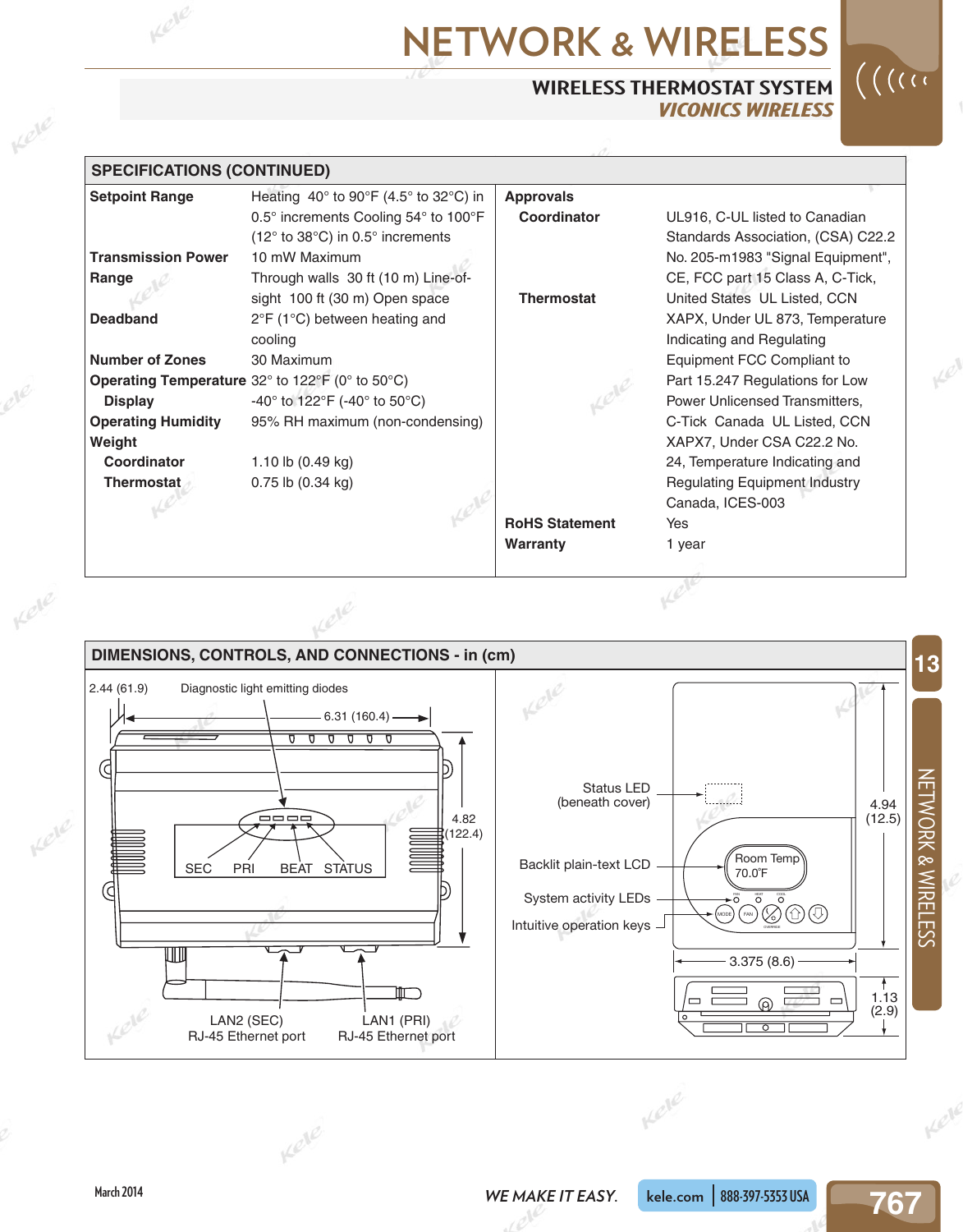#### **WIRELESS THERMOSTAT SYSTEM** *VICONICS WIRELESS*



Kel

| <b>SPECIFICATIONS (CONTINUED)</b> |                                                          |                       |                                      |
|-----------------------------------|----------------------------------------------------------|-----------------------|--------------------------------------|
| <b>Setpoint Range</b>             | Heating $40^{\circ}$ to $90^{\circ}$ F (4.5° to 32°C) in | <b>Approvals</b>      |                                      |
|                                   | 0.5° increments Cooling 54° to 100°F                     | Coordinator           | UL916, C-UL listed to Canadian       |
|                                   | (12° to 38°C) in 0.5° increments                         |                       | Standards Association, (CSA) C22.2   |
| <b>Transmission Power</b>         | 10 mW Maximum                                            |                       | No. 205-m1983 "Signal Equipment",    |
| Range                             | Through walls 30 ft (10 m) Line-of-                      |                       | CE, FCC part 15 Class A, C-Tick,     |
|                                   | sight 100 ft (30 m) Open space                           | <b>Thermostat</b>     | United States UL Listed, CCN         |
| <b>Deadband</b>                   | 2°F (1°C) between heating and                            |                       | XAPX, Under UL 873, Temperature      |
|                                   | cooling                                                  |                       | Indicating and Regulating            |
| <b>Number of Zones</b>            | 30 Maximum                                               |                       | Equipment FCC Compliant to           |
|                                   | Operating Temperature 32° to 122°F (0° to 50°C)          |                       | Part 15.247 Regulations for Low      |
| <b>Display</b>                    | -40° to 122°F (-40° to 50°C)                             |                       | Power Unlicensed Transmitters,       |
| <b>Operating Humidity</b>         | 95% RH maximum (non-condensing)                          |                       | C-Tick Canada UL Listed, CCN         |
| Weight                            |                                                          |                       | XAPX7, Under CSA C22.2 No.           |
| Coordinator                       | 1.10 lb (0.49 kg)                                        |                       | 24, Temperature Indicating and       |
| Thermostat                        | $0.75$ lb $(0.34$ kg)                                    |                       | <b>Regulating Equipment Industry</b> |
|                                   |                                                          |                       | Canada, ICES-003                     |
|                                   |                                                          | <b>RoHS Statement</b> | Yes                                  |
|                                   |                                                          | Warranty              | 1 year                               |



Kell

Kele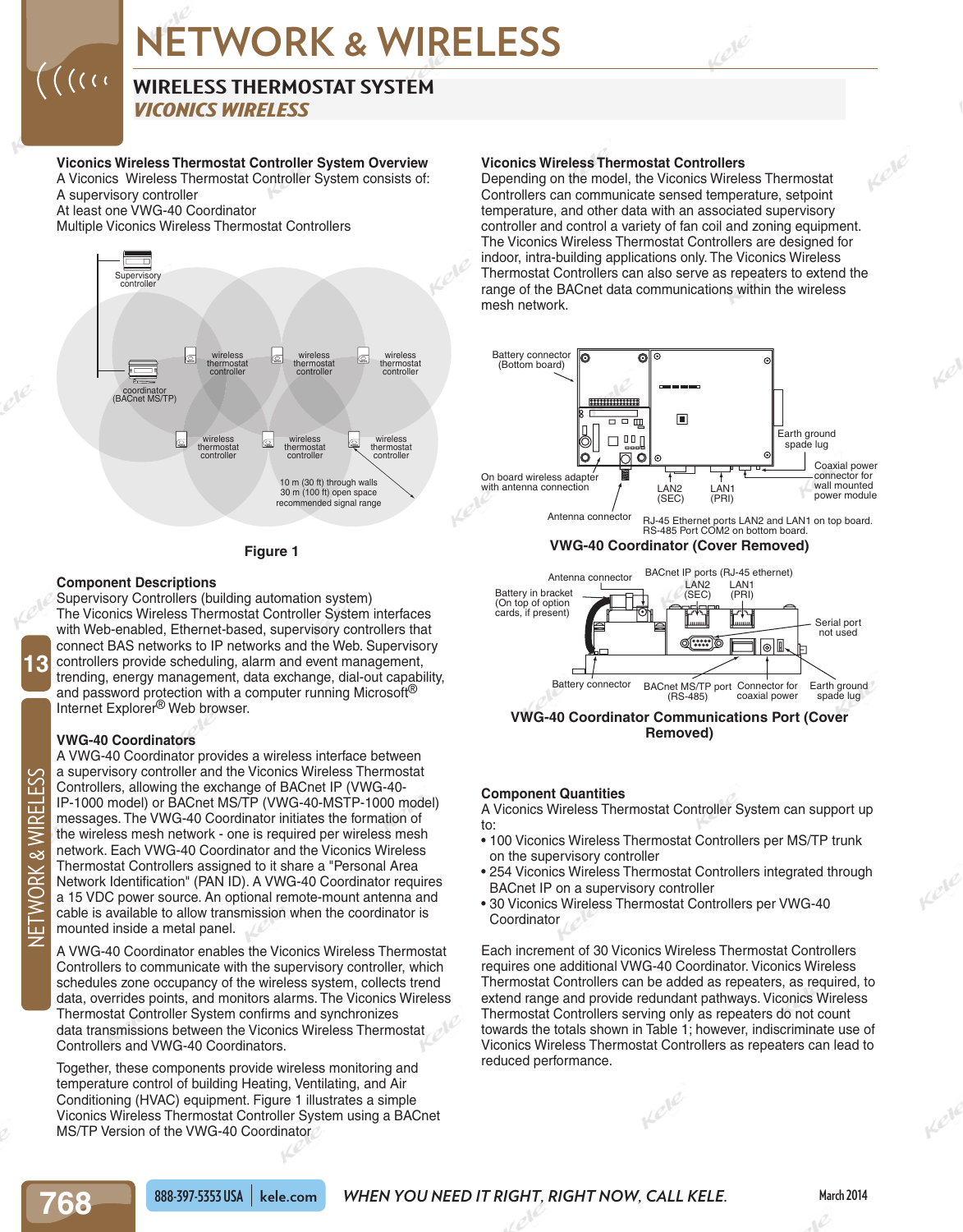### **WIRELESS THERMOSTAT SYSTEM**

*VICONICS WIRELESS*

#### **Viconics Wireless Thermostat Controller System Overview**

A Viconics Wireless Thermostat Controller System consists of: A supervisory controller At least one VWG-40 Coordinator

Multiple Viconics Wireless Thermostat Controllers

 $\bigcap_{i=1}^n\bigcap_{i=1}^n\bigcap_{i=1}^n\bigcap_{i=1}^n\bigcap_{i=1}^n\bigcap_{i=1}^n\bigcap_{i=1}^n\bigcap_{i=1}^n\bigcap_{i=1}^n\bigcap_{i=1}^n\bigcap_{i=1}^n\bigcap_{i=1}^n\bigcap_{i=1}^n\bigcap_{i=1}^n\bigcap_{i=1}^n\bigcap_{i=1}^n\bigcap_{i=1}^n\bigcap_{i=1}^n\bigcap_{i=1}^n\bigcap_{i=1}^n\bigcap_{i=1}^n\bigcap_{i=1}^n$ 



#### **Figure 1**

#### **Component Descriptions**

Supervisory Controllers (building automation system) The Viconics Wireless Thermostat Controller System interfaces with Web-enabled, Ethernet-based, supervisory controllers that connect BAS networks to IP networks and the Web. Supervisory controllers provide scheduling, alarm and event management, trending, energy management, data exchange, dial-out capability, and password protection with a computer running Microsoft<sup>®</sup> Internet Explorer® Web browser.

#### **VWG-40 Coordinators**

A VWG-40 Coordinator provides a wireless interface between a supervisory controller and the Viconics Wireless Thermostat Controllers, allowing the exchange of BACnet IP (VWG-40- IP-1000 model) or BACnet MS/TP (VWG-40-MSTP-1000 model) messages. The VWG-40 Coordinator initiates the formation of the wireless mesh network - one is required per wireless mesh network. Each VWG-40 Coordinator and the Viconics Wireless Thermostat Controllers assigned to it share a "Personal Area Network Identification" (PAN ID). A VWG-40 Coordinator requires a 15 VDC power source. An optional remote-mount antenna and cable is available to allow transmission when the coordinator is mounted inside a metal panel.

A VWG-40 Coordinator enables the Viconics Wireless Thermostat Controllers to communicate with the supervisory controller, which schedules zone occupancy of the wireless system, collects trend data, overrides points, and monitors alarms. The Viconics Wireless Thermostat Controller System confirms and synchronizes data transmissions between the Viconics Wireless Thermostat Controllers and VWG-40 Coordinators.

Together, these components provide wireless monitoring and temperature control of building Heating, Ventilating, and Air Conditioning (HVAC) equipment. Figure 1 illustrates a simple Viconics Wireless Thermostat Controller System using a BACnet MS/TP Version of the VWG-40 Coordinator

#### **Viconics Wireless Thermostat Controllers**

**Viconics Wireless Thermostat Controllers**<br>
Depending on the model, the Viconics Wireless Thermostat<br>
Controllers can communicate sensed temperature, setpoint<br>
temperature, and other data with an associated supervisory<br>
co Depending on the model, the Viconics Wireless Thermostat Controllers can communicate sensed temperature, setpoint temperature, and other data with an associated supervisory controller and control a variety of fan coil and zoning equipment. The Viconics Wireless Thermostat Controllers are designed for indoor, intra-building applications only. The Viconics Wireless Thermostat Controllers can also serve as repeaters to extend the range of the BACnet data communications within the wireless mesh network.



**VWG-40 Coordinator Communications Port (Cover Removed)**

#### **Component Quantities**

A Viconics Wireless Thermostat Controller System can support up to:

- 100 Viconics Wireless Thermostat Controllers per MS/TP trunk on the supervisory controller
- 254 Viconics Wireless Thermostat Controllers integrated through BACnet IP on a supervisory controller
- 30 Viconics Wireless Thermostat Controllers per VWG-40 Coordinator

Each increment of 30 Viconics Wireless Thermostat Controllers requires one additional VWG-40 Coordinator. Viconics Wireless Thermostat Controllers can be added as repeaters, as required, to extend range and provide redundant pathways. Viconics Wireless Thermostat Controllers serving only as repeaters do not count towards the totals shown in Table 1; however, indiscriminate use of Viconics Wireless Thermostat Controllers as repeaters can lead to reduced performance.

**13**

 $e^{i\ell}$